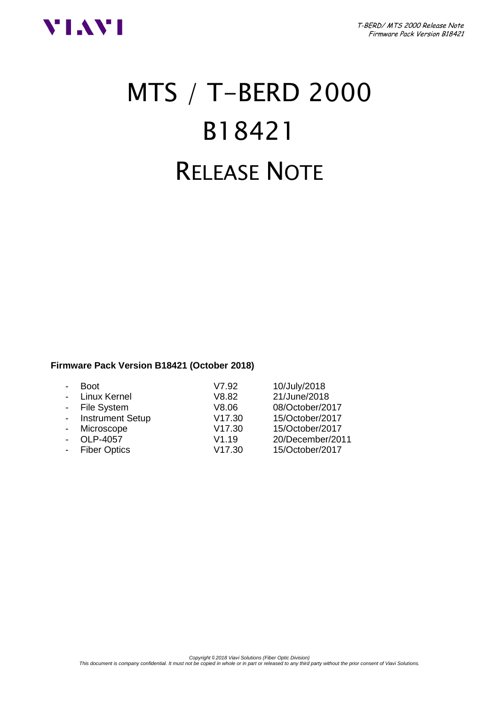

# MTS / T-BERD 2000 B18421 RELEASE NOTE

# **Firmware Pack Version B18421 (October 2018)**

| <b>Boot</b>             | V7.92  | 10/July/2018     |
|-------------------------|--------|------------------|
| Linux Kernel            | V8.82  | 21/June/2018     |
| - File System           | V8.06  | 08/October/2017  |
| <b>Instrument Setup</b> | V17.30 | 15/October/2017  |
| Microscope              | V17.30 | 15/October/2017  |
| OLP-4057                | V1.19  | 20/December/2011 |
| - Fiber Optics          | V17.30 | 15/October/2017  |
|                         |        |                  |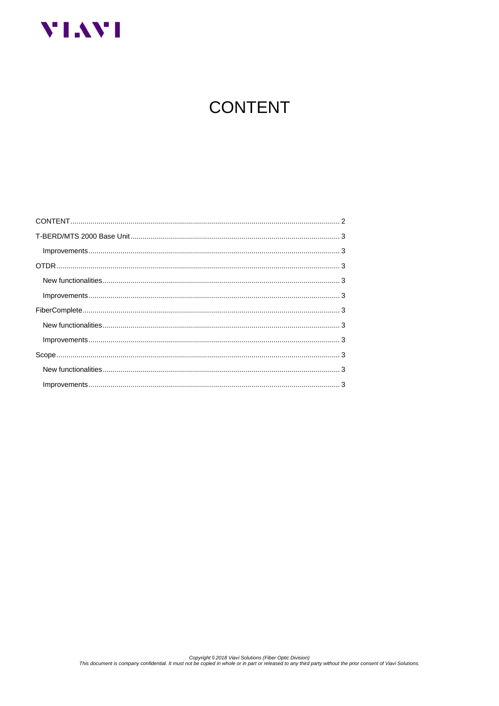<span id="page-1-0"></span>

# **CONTENT**